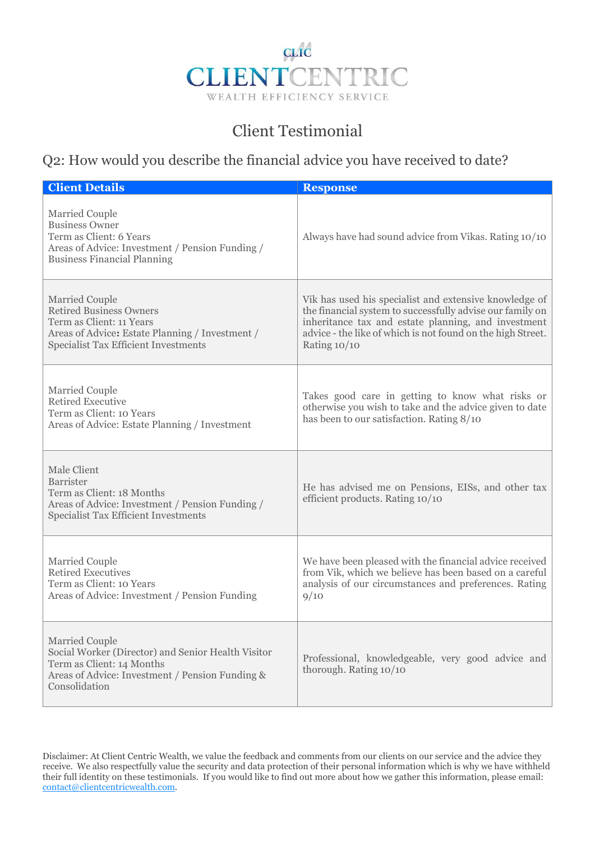

## Client Testimonial

## Q2: How would you describe the financial advice you have received to date?

| <b>Client Details</b>                                                                                                                                                                 | <b>Response</b>                                                                                                                                                                                                                                           |
|---------------------------------------------------------------------------------------------------------------------------------------------------------------------------------------|-----------------------------------------------------------------------------------------------------------------------------------------------------------------------------------------------------------------------------------------------------------|
| Married Couple<br><b>Business Owner</b><br>Term as Client: 6 Years<br>Areas of Advice: Investment / Pension Funding /<br><b>Business Financial Planning</b>                           | Always have had sound advice from Vikas. Rating 10/10                                                                                                                                                                                                     |
| <b>Married Couple</b><br><b>Retired Business Owners</b><br>Term as Client: 11 Years<br>Areas of Advice: Estate Planning / Investment /<br><b>Specialist Tax Efficient Investments</b> | Vik has used his specialist and extensive knowledge of<br>the financial system to successfully advise our family on<br>inheritance tax and estate planning, and investment<br>advice - the like of which is not found on the high Street.<br>Rating 10/10 |
| Married Couple<br><b>Retired Executive</b><br>Term as Client: 10 Years<br>Areas of Advice: Estate Planning / Investment                                                               | Takes good care in getting to know what risks or<br>otherwise you wish to take and the advice given to date<br>has been to our satisfaction. Rating 8/10                                                                                                  |
| Male Client<br>Barrister<br>Term as Client: 18 Months<br>Areas of Advice: Investment / Pension Funding /<br><b>Specialist Tax Efficient Investments</b>                               | He has advised me on Pensions, EISs, and other tax<br>efficient products. Rating 10/10                                                                                                                                                                    |
| <b>Married Couple</b><br><b>Retired Executives</b><br>Term as Client: 10 Years<br>Areas of Advice: Investment / Pension Funding                                                       | We have been pleased with the financial advice received<br>from Vik, which we believe has been based on a careful<br>analysis of our circumstances and preferences. Rating<br>9/10                                                                        |
| <b>Married Couple</b><br>Social Worker (Director) and Senior Health Visitor<br>Term as Client: 14 Months<br>Areas of Advice: Investment / Pension Funding &<br>Consolidation          | Professional, knowledgeable, very good advice and<br>thorough. Rating 10/10                                                                                                                                                                               |

Disclaimer: At Client Centric Wealth, we value the feedback and comments from our clients on our service and the advice they receive. We also respectfully value the security and data protection of their personal information which is why we have withheld their full identity on these testimonials. If you would like to find out more about how we gather this information, please email: contact@clientcentricwealth.com.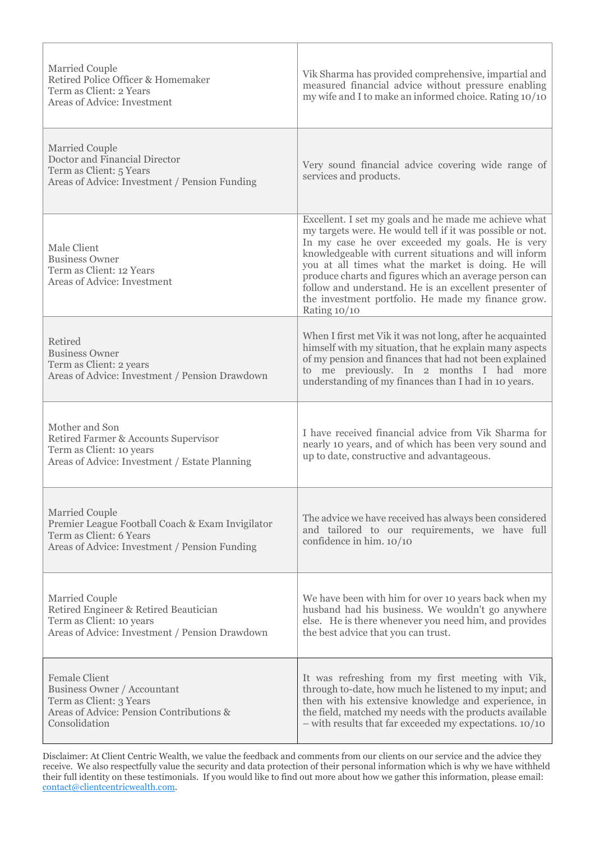| <b>Married Couple</b><br>Retired Police Officer & Homemaker<br>Term as Client: 2 Years<br>Areas of Advice: Investment                                 | Vik Sharma has provided comprehensive, impartial and<br>measured financial advice without pressure enabling<br>my wife and I to make an informed choice. Rating 10/10                                                                                                                                                                                                                                                                                                           |
|-------------------------------------------------------------------------------------------------------------------------------------------------------|---------------------------------------------------------------------------------------------------------------------------------------------------------------------------------------------------------------------------------------------------------------------------------------------------------------------------------------------------------------------------------------------------------------------------------------------------------------------------------|
| Married Couple<br>Doctor and Financial Director<br>Term as Client: 5 Years<br>Areas of Advice: Investment / Pension Funding                           | Very sound financial advice covering wide range of<br>services and products.                                                                                                                                                                                                                                                                                                                                                                                                    |
| Male Client<br><b>Business Owner</b><br>Term as Client: 12 Years<br>Areas of Advice: Investment                                                       | Excellent. I set my goals and he made me achieve what<br>my targets were. He would tell if it was possible or not.<br>In my case he over exceeded my goals. He is very<br>knowledgeable with current situations and will inform<br>you at all times what the market is doing. He will<br>produce charts and figures which an average person can<br>follow and understand. He is an excellent presenter of<br>the investment portfolio. He made my finance grow.<br>Rating 10/10 |
| Retired<br><b>Business Owner</b><br>Term as Client: 2 years<br>Areas of Advice: Investment / Pension Drawdown                                         | When I first met Vik it was not long, after he acquainted<br>himself with my situation, that he explain many aspects<br>of my pension and finances that had not been explained<br>to me previously. In 2 months I had more<br>understanding of my finances than I had in 10 years.                                                                                                                                                                                              |
| Mother and Son<br>Retired Farmer & Accounts Supervisor<br>Term as Client: 10 years<br>Areas of Advice: Investment / Estate Planning                   | I have received financial advice from Vik Sharma for<br>nearly 10 years, and of which has been very sound and<br>up to date, constructive and advantageous.                                                                                                                                                                                                                                                                                                                     |
| <b>Married Couple</b><br>Premier League Football Coach & Exam Invigilator<br>Term as Client: 6 Years<br>Areas of Advice: Investment / Pension Funding | The advice we have received has always been considered<br>and tailored to our requirements, we have full<br>confidence in him. 10/10                                                                                                                                                                                                                                                                                                                                            |
| <b>Married Couple</b><br>Retired Engineer & Retired Beautician<br>Term as Client: 10 years<br>Areas of Advice: Investment / Pension Drawdown          | We have been with him for over 10 years back when my<br>husband had his business. We wouldn't go anywhere<br>else. He is there whenever you need him, and provides<br>the best advice that you can trust.                                                                                                                                                                                                                                                                       |
| <b>Female Client</b><br>Business Owner / Accountant<br>Term as Client: 3 Years<br>Areas of Advice: Pension Contributions &<br>Consolidation           | It was refreshing from my first meeting with Vik,<br>through to-date, how much he listened to my input; and<br>then with his extensive knowledge and experience, in<br>the field, matched my needs with the products available<br>$-$ with results that far exceeded my expectations. 10/10                                                                                                                                                                                     |

Disclaimer: At Client Centric Wealth, we value the feedback and comments from our clients on our service and the advice they receive. We also respectfully value the security and data protection of their personal information which is why we have withheld their full identity on these testimonials. If you would like to find out more about how we gather this information, please email: contact@clientcentricwealth.com.